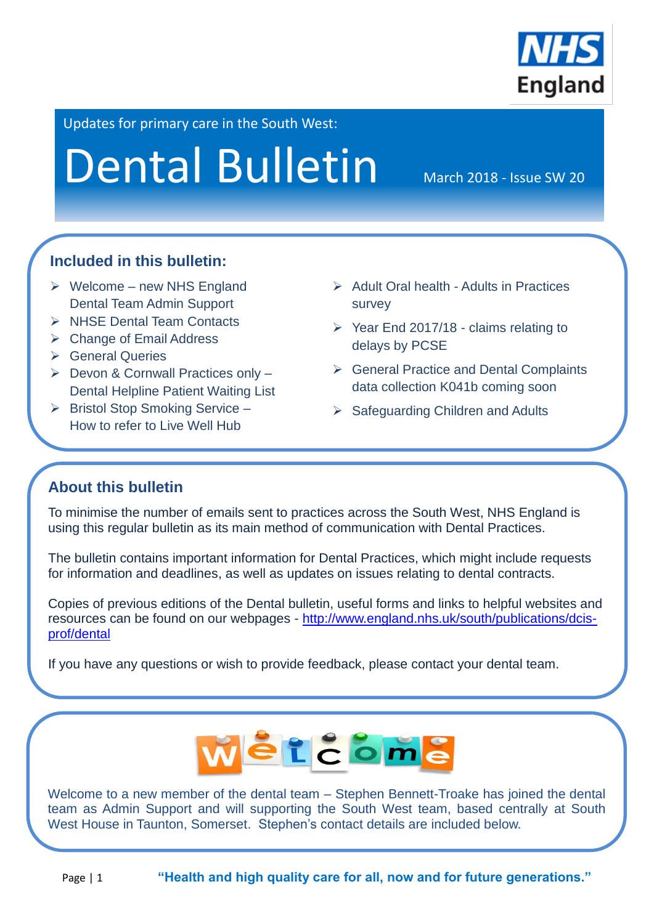

Updates for primary care in the South West:

# Dental Bulletin March 2018 - Issue SW 20

## **Included in this bulletin:**

- $\triangleright$  Welcome new NHS England Dental Team Admin Support
- $\triangleright$  NHSF Dental Team Contacts
- Change of Email Address
- **≻** General Queries
- $\triangleright$  Devon & Cornwall Practices only -Dental Helpline Patient Waiting List
- $\triangleright$  Bristol Stop Smoking Service How to refer to Live Well Hub
- $\triangleright$  Adult Oral health Adults in Practices survey
- $\triangleright$  Year End 2017/18 claims relating to delays by PCSE
- General Practice and Dental Complaints data collection K041b coming soon
- $\triangleright$  Safeguarding Children and Adults

## **About this bulletin**

L

To minimise the number of emails sent to practices across the South West, NHS England is using this regular bulletin as its main method of communication with Dental Practices.

The bulletin contains important information for Dental Practices, which might include requests for information and deadlines, as well as updates on issues relating to dental contracts.

Copies of previous editions of the Dental bulletin, useful forms and links to helpful websites and resources can be found on our webpages - [http://www.england.nhs.uk/south/publications/dcis](http://www.england.nhs.uk/south/publications/dcis-prof/dental)[prof/dental](http://www.england.nhs.uk/south/publications/dcis-prof/dental)

If you have any questions or wish to provide feedback, please contact your dental team.



Welcome to a new member of the dental team – Stephen Bennett-Troake has joined the dental team as Admin Support and will supporting the South West team, based centrally at South West House in Taunton, Somerset. Stephen's contact details are included below.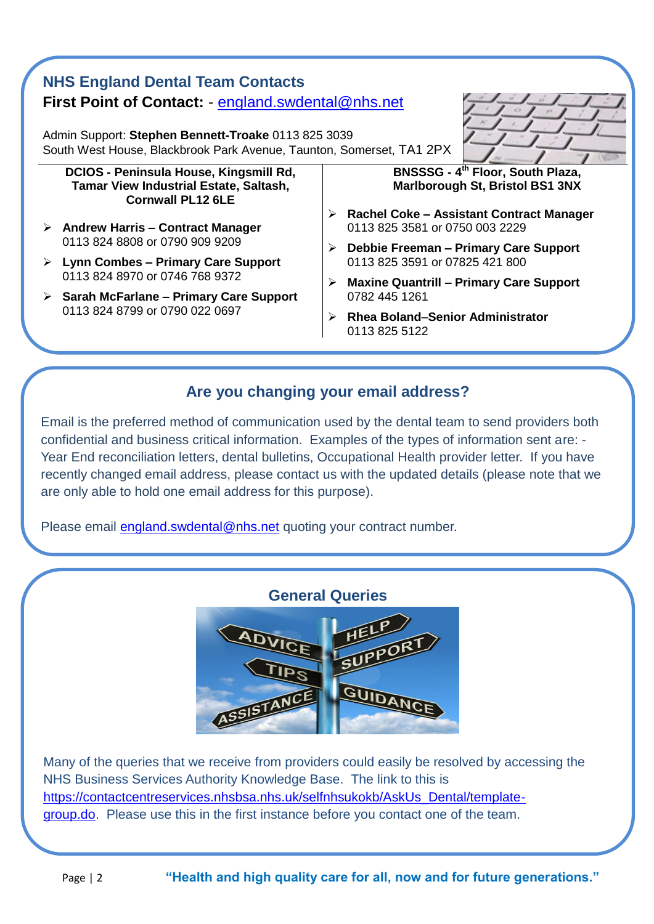## **NHS England Dental Team Contacts First Point of Contact:** - [england.swdental@nhs.net](mailto:england.swdental@nhs.net)

Admin Support: **Stephen Bennett-Troake** 0113 825 3039 South West House, Blackbrook Park Avenue, Taunton, Somerset, TA1 2PX

**DCIOS - Peninsula House, Kingsmill Rd, Tamar View Industrial Estate, Saltash, Cornwall PL12 6LE**

- **Andrew Harris – Contract Manager** 0113 824 8808 or 0790 909 9209
- **Lynn Combes – Primary Care Support** 0113 824 8970 or 0746 768 9372
- **Sarah McFarlane – Primary Care Support** 0113 824 8799 or 0790 022 0697

**BNSSSG - 4 th Floor, South Plaza, Marlborough St, Bristol BS1 3NX**

- **Rachel Coke – Assistant Contract Manager** 0113 825 3581 or 0750 003 2229
- **Debbie Freeman – Primary Care Support** 0113 825 3591 or 07825 421 800
- **Maxine Quantrill – Primary Care Support** 0782 445 1261
- **Rhea Boland**–**Senior Administrator** 0113 825 5122

#### **Are you changing your email address?**

Email is the preferred method of communication used by the dental team to send providers both confidential and business critical information. Examples of the types of information sent are: - Year End reconciliation letters, dental bulletins, Occupational Health provider letter. If you have recently changed email address, please contact us with the updated details (please note that we are only able to hold one email address for this purpose).

Please email [england.swdental@nhs.net](mailto:england.swdental@nhs.net) quoting your contract number.



Many of the queries that we receive from providers could easily be resolved by accessing the NHS Business Services Authority Knowledge Base. The link to this is [https://contactcentreservices.nhsbsa.nhs.uk/selfnhsukokb/AskUs\\_Dental/template](https://contactcentreservices.nhsbsa.nhs.uk/selfnhsukokb/AskUs_Dental/template-group.do)[group.do.](https://contactcentreservices.nhsbsa.nhs.uk/selfnhsukokb/AskUs_Dental/template-group.do) Please use this in the first instance before you contact one of the team.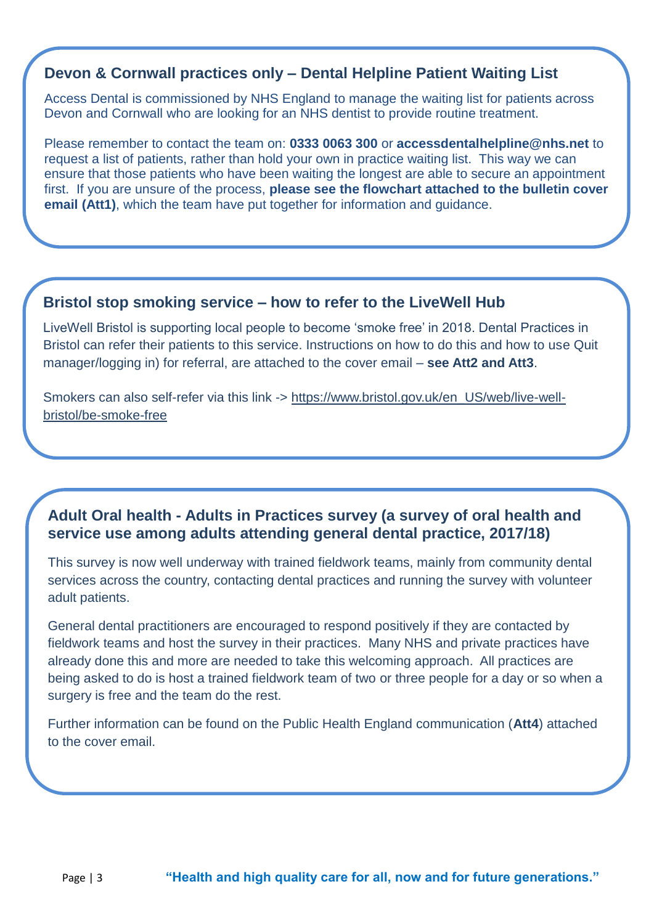#### **Devon & Cornwall practices only – Dental Helpline Patient Waiting List**

Access Dental is commissioned by NHS England to manage the waiting list for patients across Devon and Cornwall who are looking for an NHS dentist to provide routine treatment.

Please remember to contact the team on: **0333 0063 300** or **accessdentalhelpline@nhs.net** to request a list of patients, rather than hold your own in practice waiting list. This way we can ensure that those patients who have been waiting the longest are able to secure an appointment first. If you are unsure of the process, **please see the flowchart attached to the bulletin cover email (Att1)**, which the team have put together for information and guidance.

#### **Bristol stop smoking service – how to refer to the LiveWell Hub**

J

LiveWell Bristol is supporting local people to become 'smoke free' in 2018. Dental Practices in Bristol can refer their patients to this service. Instructions on how to do this and how to use Quit manager/logging in) for referral, are attached to the cover email – **see Att2 and Att3**.

Smokers can also self-refer via this link -> [https://www.bristol.gov.uk/en\\_US/web/live-well](https://www.bristol.gov.uk/en_US/web/live-well-bristol/be-smoke-free)[bristol/be-smoke-free](https://www.bristol.gov.uk/en_US/web/live-well-bristol/be-smoke-free)

#### **Adult Oral health - Adults in Practices survey (a survey of oral health and service use among adults attending general dental practice, 2017/18)**

This survey is now well underway with trained fieldwork teams, mainly from community dental services across the country, contacting dental practices and running the survey with volunteer adult patients.

General dental practitioners are encouraged to respond positively if they are contacted by fieldwork teams and host the survey in their practices. Many NHS and private practices have already done this and more are needed to take this welcoming approach. All practices are being asked to do is host a trained fieldwork team of two or three people for a day or so when a surgery is free and the team do the rest.

Further information can be found on the Public Health England communication (**Att4**) attached to the cover email.